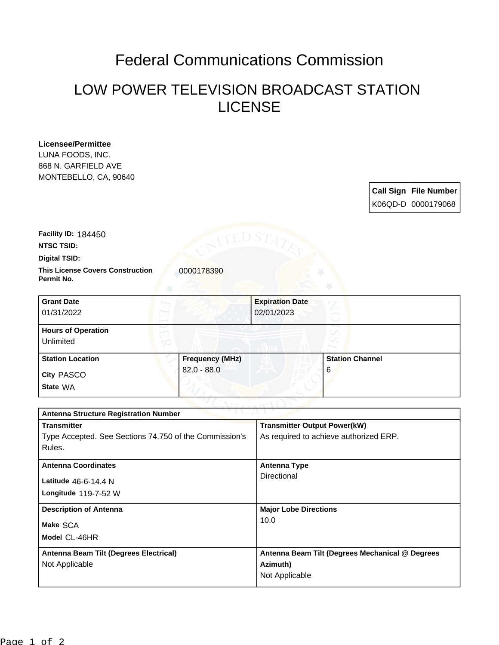# Federal Communications Commission

## LOW POWER TELEVISION BROADCAST STATION LICENSE

#### **Licensee/Permittee**

LUNA FOODS, INC. 868 N. GARFIELD AVE MONTEBELLO, CA, 90640

## **Call Sign File Number** K06QD-D 0000179068

**Facility ID:** 184450

**NTSC TSID:**

**Digital TSID:**

**This License Covers Construction 10000178390 Permit No.**

| <b>Grant Date</b>         |                        | <b>Expiration Date</b> |                        |  |
|---------------------------|------------------------|------------------------|------------------------|--|
| 01/31/2022                |                        | 02/01/2023             |                        |  |
| <b>Hours of Operation</b> |                        |                        |                        |  |
| Unlimited                 |                        |                        |                        |  |
| <b>Station Location</b>   | <b>Frequency (MHz)</b> |                        | <b>Station Channel</b> |  |
| <b>City PASCO</b>         | $82.0 - 88.0$          |                        | 6                      |  |
| State WA                  |                        |                        |                        |  |

| つきまし パーレン<br><b>Antenna Structure Registration Number</b> |                                                 |  |  |  |
|-----------------------------------------------------------|-------------------------------------------------|--|--|--|
| <b>Transmitter</b>                                        | <b>Transmitter Output Power(kW)</b>             |  |  |  |
| Type Accepted. See Sections 74.750 of the Commission's    | As required to achieve authorized ERP.          |  |  |  |
| Rules.                                                    |                                                 |  |  |  |
| <b>Antenna Coordinates</b>                                | <b>Antenna Type</b>                             |  |  |  |
| Latitude $46-6-14.4$ N                                    | Directional                                     |  |  |  |
| Longitude 119-7-52 W                                      |                                                 |  |  |  |
| <b>Description of Antenna</b>                             | <b>Major Lobe Directions</b>                    |  |  |  |
| Make SCA                                                  | 10.0                                            |  |  |  |
| Model CL-46HR                                             |                                                 |  |  |  |
| Antenna Beam Tilt (Degrees Electrical)                    | Antenna Beam Tilt (Degrees Mechanical @ Degrees |  |  |  |
| Not Applicable                                            | Azimuth)                                        |  |  |  |
|                                                           | Not Applicable                                  |  |  |  |